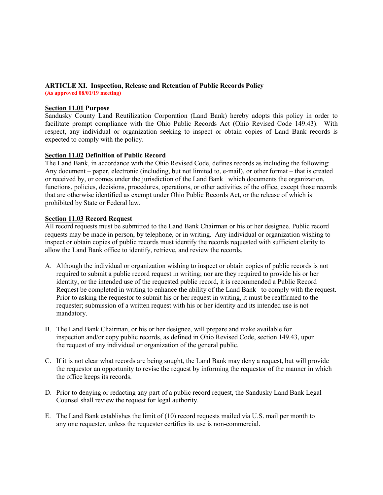#### **ARTICLE XI. Inspection, Release and Retention of Public Records Policy (As approved 08/01/19 meeting)**

#### **Section 11.01 Purpose**

Sandusky County Land Reutilization Corporation (Land Bank) hereby adopts this policy in order to facilitate prompt compliance with the Ohio Public Records Act (Ohio Revised Code 149.43). With respect, any individual or organization seeking to inspect or obtain copies of Land Bank records is expected to comply with the policy.

### **Section 11.02 Definition of Public Record**

The Land Bank, in accordance with the Ohio Revised Code, defines records as including the following: Any document – paper, electronic (including, but not limited to, e-mail), or other format – that is created or received by, or comes under the jurisdiction of the Land Bank which documents the organization, functions, policies, decisions, procedures, operations, or other activities of the office, except those records that are otherwise identified as exempt under Ohio Public Records Act, or the release of which is prohibited by State or Federal law.

### **Section 11.03 Record Request**

All record requests must be submitted to the Land Bank Chairman or his or her designee. Public record requests may be made in person, by telephone, or in writing. Any individual or organization wishing to inspect or obtain copies of public records must identify the records requested with sufficient clarity to allow the Land Bank office to identify, retrieve, and review the records.

- A. Although the individual or organization wishing to inspect or obtain copies of public records is not required to submit a public record request in writing; nor are they required to provide his or her identity, or the intended use of the requested public record, it is recommended a Public Record Request be completed in writing to enhance the ability of the Land Bank to comply with the request. Prior to asking the requestor to submit his or her request in writing, it must be reaffirmed to the requester; submission of a written request with his or her identity and its intended use is not mandatory.
- B. The Land Bank Chairman, or his or her designee, will prepare and make available for inspection and/or copy public records, as defined in Ohio Revised Code, section 149.43, upon the request of any individual or organization of the general public.
- C. If it is not clear what records are being sought, the Land Bank may deny a request, but will provide the requestor an opportunity to revise the request by informing the requestor of the manner in which the office keeps its records.
- D. Prior to denying or redacting any part of a public record request, the Sandusky Land Bank Legal Counsel shall review the request for legal authority.
- E. The Land Bank establishes the limit of (10) record requests mailed via U.S. mail per month to any one requester, unless the requester certifies its use is non-commercial.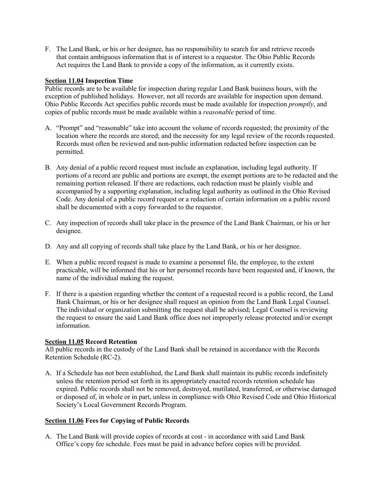F. The Land Bank, or his or her designee, has no responsibility to search for and retrieve records that contain ambiguous information that is of interest to a requestor. The Ohio Public Records Act requires the Land Bank to provide a copy of the information, as it currently exists.

#### **Section 11.04 Inspection Time**

Public records are to be available for inspection during regular Land Bank business hours, with the exception of published holidays. However, not all records are available for inspection upon demand. Ohio Public Records Act specifies public records must be made available for inspection *promptly*, and copies of public records must be made available within a *reasonable* period of time.

- A. "Prompt" and "reasonable" take into account the volume of records requested; the proximity of the location where the records are stored; and the necessity for any legal review of the records requested. Records must often be reviewed and non-public information redacted before inspection can be permitted.
- B. Any denial of a public record request must include an explanation, including legal authority. If portions of a record are public and portions are exempt, the exempt portions are to be redacted and the remaining portion released. If there are redactions, each redaction must be plainly visible and accompanied by a supporting explanation, including legal authority as outlined in the Ohio Revised Code. Any denial of a public record request or a redaction of certain information on a public record shall be documented with a copy forwarded to the requestor.
- C. Any inspection of records shall take place in the presence of the Land Bank Chairman, or his or her designee.
- D. Any and all copying of records shall take place by the Land Bank, or his or her designee.
- E. When a public record request is made to examine a personnel file, the employee, to the extent practicable, will be informed that his or her personnel records have been requested and, if known, the name of the individual making the request.
- F. If there is a question regarding whether the content of a requested record is a public record, the Land Bank Chairman, or his or her designee shall request an opinion from the Land Bank Legal Counsel. The individual or organization submitting the request shall be advised; Legal Counsel is reviewing the request to ensure the said Land Bank office does not improperly release protected and/or exempt information.

#### **Section 11.05 Record Retention**

All public records in the custody of the Land Bank shall be retained in accordance with the Records Retention Schedule (RC-2).

A. If a Schedule has not been established, the Land Bank shall maintain its public records indefinitely unless the retention period set forth in its appropriately enacted records retention schedule has expired. Public records shall not be removed, destroyed, mutilated, transferred, or otherwise damaged or disposed of, in whole or in part, unless in compliance with Ohio Revised Code and Ohio Historical Society's Local Government Records Program.

## **Section 11.06 Fees for Copying of Public Records**

A. The Land Bank will provide copies of records at cost - in accordance with said Land Bank Office's copy fee schedule. Fees must be paid in advance before copies will be provided.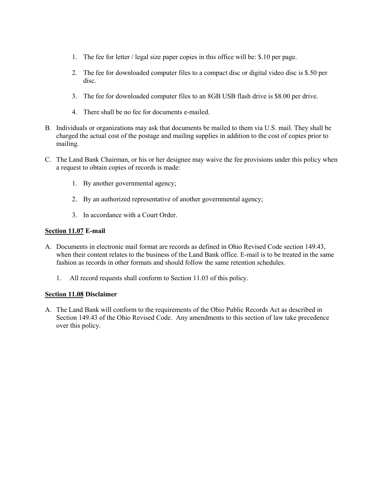- 1. The fee for letter / legal size paper copies in this office will be: \$.10 per page.
- 2. The fee for downloaded computer files to a compact disc or digital video disc is \$.50 per disc.
- 3. The fee for downloaded computer files to an 8GB USB flash drive is \$8.00 per drive.
- 4. There shall be no fee for documents e-mailed.
- B. Individuals or organizations may ask that documents be mailed to them via U.S. mail. They shall be charged the actual cost of the postage and mailing supplies in addition to the cost of copies prior to mailing.
- C. The Land Bank Chairman, or his or her designee may waive the fee provisions under this policy when a request to obtain copies of records is made:
	- 1. By another governmental agency;
	- 2. By an authorized representative of another governmental agency;
	- 3. In accordance with a Court Order.

#### **Section 11.07 E-mail**

- A. Documents in electronic mail format are records as defined in Ohio Revised Code section 149.43, when their content relates to the business of the Land Bank office. E-mail is to be treated in the same fashion as records in other formats and should follow the same retention schedules.
	- 1. All record requests shall conform to Section 11.03 of this policy.

#### **Section 11.08 Disclaimer**

A. The Land Bank will conform to the requirements of the Ohio Public Records Act as described in Section 149.43 of the Ohio Revised Code. Any amendments to this section of law take precedence over this policy.